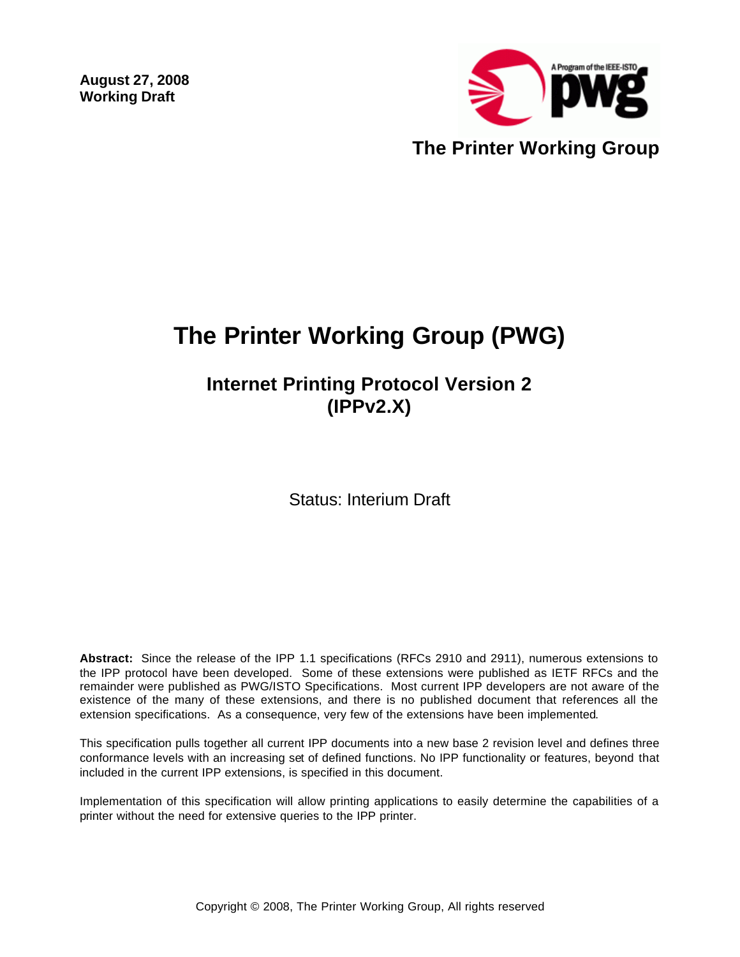**August 27, 2008 Working Draft** 



# **The Printer Working Group (PWG)**

# **Internet Printing Protocol Version 2 (IPPv2.X)**

Status: Interium Draft

**Abstract:** Since the release of the IPP 1.1 specifications (RFCs 2910 and 2911), numerous extensions to the IPP protocol have been developed. Some of these extensions were published as IETF RFCs and the remainder were published as PWG/ISTO Specifications. Most current IPP developers are not aware of the existence of the many of these extensions, and there is no published document that references all the extension specifications. As a consequence, very few of the extensions have been implemented.

This specification pulls together all current IPP documents into a new base 2 revision level and defines three conformance levels with an increasing set of defined functions. No IPP functionality or features, beyond that included in the current IPP extensions, is specified in this document.

Implementation of this specification will allow printing applications to easily determine the capabilities of a printer without the need for extensive queries to the IPP printer.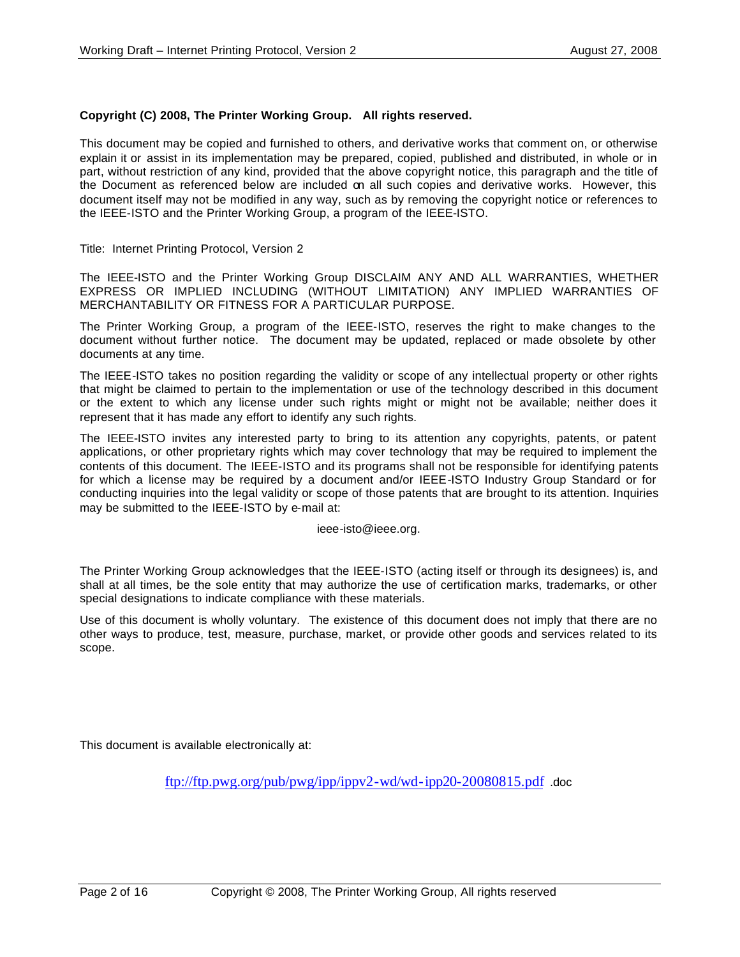#### **Copyright (C) 2008, The Printer Working Group. All rights reserved.**

This document may be copied and furnished to others, and derivative works that comment on, or otherwise explain it or assist in its implementation may be prepared, copied, published and distributed, in whole or in part, without restriction of any kind, provided that the above copyright notice, this paragraph and the title of the Document as referenced below are included on all such copies and derivative works. However, this document itself may not be modified in any way, such as by removing the copyright notice or references to the IEEE-ISTO and the Printer Working Group, a program of the IEEE-ISTO.

Title: Internet Printing Protocol, Version 2

The IEEE-ISTO and the Printer Working Group DISCLAIM ANY AND ALL WARRANTIES, WHETHER EXPRESS OR IMPLIED INCLUDING (WITHOUT LIMITATION) ANY IMPLIED WARRANTIES OF MERCHANTABILITY OR FITNESS FOR A PARTICULAR PURPOSE.

The Printer Working Group, a program of the IEEE-ISTO, reserves the right to make changes to the document without further notice. The document may be updated, replaced or made obsolete by other documents at any time.

The IEEE-ISTO takes no position regarding the validity or scope of any intellectual property or other rights that might be claimed to pertain to the implementation or use of the technology described in this document or the extent to which any license under such rights might or might not be available; neither does it represent that it has made any effort to identify any such rights.

The IEEE-ISTO invites any interested party to bring to its attention any copyrights, patents, or patent applications, or other proprietary rights which may cover technology that may be required to implement the contents of this document. The IEEE-ISTO and its programs shall not be responsible for identifying patents for which a license may be required by a document and/or IEEE-ISTO Industry Group Standard or for conducting inquiries into the legal validity or scope of those patents that are brought to its attention. Inquiries may be submitted to the IEEE-ISTO by e-mail at:

ieee-isto@ieee.org.

The Printer Working Group acknowledges that the IEEE-ISTO (acting itself or through its designees) is, and shall at all times, be the sole entity that may authorize the use of certification marks, trademarks, or other special designations to indicate compliance with these materials.

Use of this document is wholly voluntary. The existence of this document does not imply that there are no other ways to produce, test, measure, purchase, market, or provide other goods and services related to its scope.

This document is available electronically at:

ftp://ftp.pwg.org/pub/pwg/ipp/ippv2-wd/wd-ipp20-20080815.pdf .doc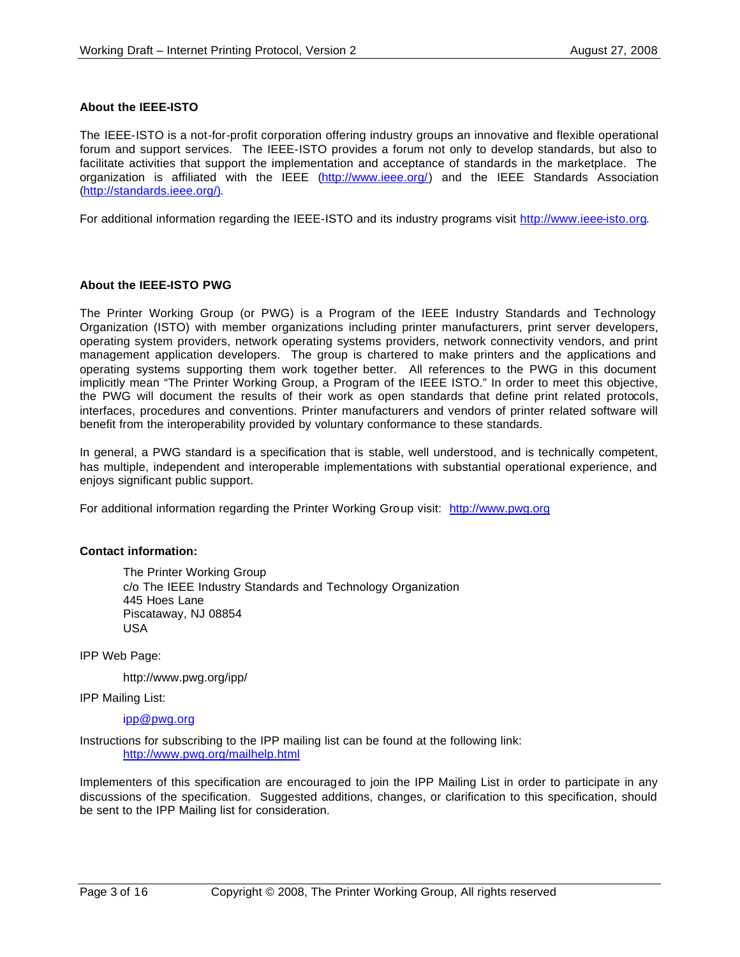#### **About the IEEE-ISTO**

The IEEE-ISTO is a not-for-profit corporation offering industry groups an innovative and flexible operational forum and support services. The IEEE-ISTO provides a forum not only to develop standards, but also to facilitate activities that support the implementation and acceptance of standards in the marketplace. The organization is affiliated with the IEEE (http://www.ieee.org/) and the IEEE Standards Association (http://standards.ieee.org/).

For additional information regarding the IEEE-ISTO and its industry programs visit http://www.ieee-isto.org.

#### **About the IEEE-ISTO PWG**

The Printer Working Group (or PWG) is a Program of the IEEE Industry Standards and Technology Organization (ISTO) with member organizations including printer manufacturers, print server developers, operating system providers, network operating systems providers, network connectivity vendors, and print management application developers. The group is chartered to make printers and the applications and operating systems supporting them work together better. All references to the PWG in this document implicitly mean "The Printer Working Group, a Program of the IEEE ISTO." In order to meet this objective, the PWG will document the results of their work as open standards that define print related protocols, interfaces, procedures and conventions. Printer manufacturers and vendors of printer related software will benefit from the interoperability provided by voluntary conformance to these standards.

In general, a PWG standard is a specification that is stable, well understood, and is technically competent, has multiple, independent and interoperable implementations with substantial operational experience, and enjoys significant public support.

For additional information regarding the Printer Working Group visit: http://www.pwg.org

#### **Contact information:**

The Printer Working Group c/o The IEEE Industry Standards and Technology Organization 445 Hoes Lane Piscataway, NJ 08854 USA

IPP Web Page:

http://www.pwg.org/ipp/

IPP Mailing List:

ipp@pwg.org

Instructions for subscribing to the IPP mailing list can be found at the following link: http://www.pwg.org/mailhelp.html

Implementers of this specification are encouraged to join the IPP Mailing List in order to participate in any discussions of the specification. Suggested additions, changes, or clarification to this specification, should be sent to the IPP Mailing list for consideration.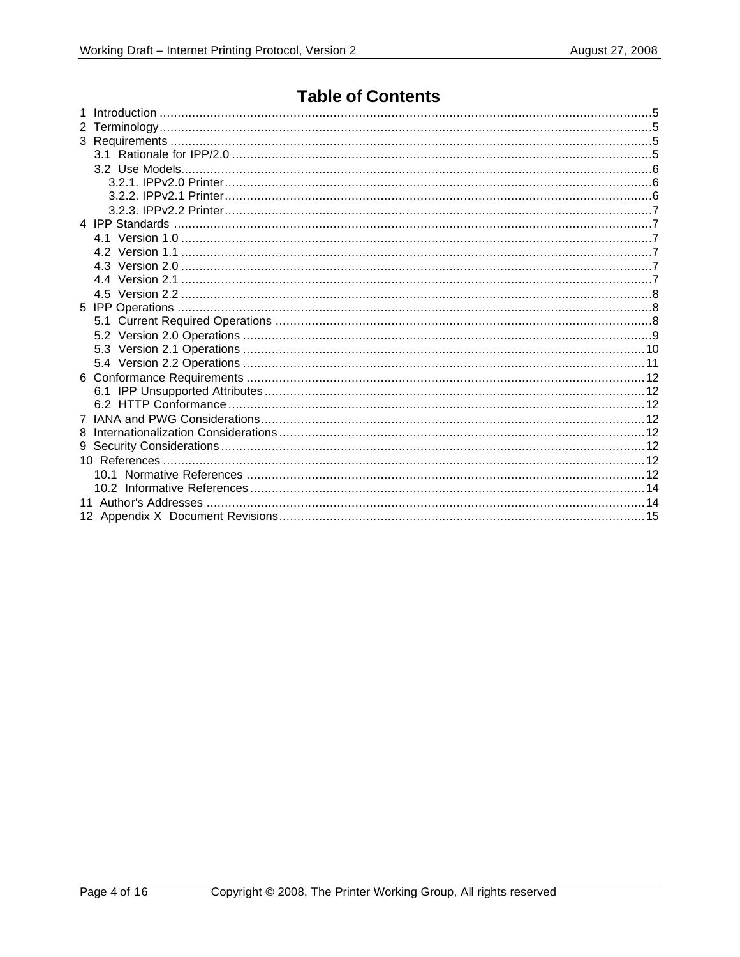### **Table of Contents**

| 8 |  |  |  |  |
|---|--|--|--|--|
|   |  |  |  |  |
|   |  |  |  |  |
|   |  |  |  |  |
|   |  |  |  |  |
|   |  |  |  |  |
|   |  |  |  |  |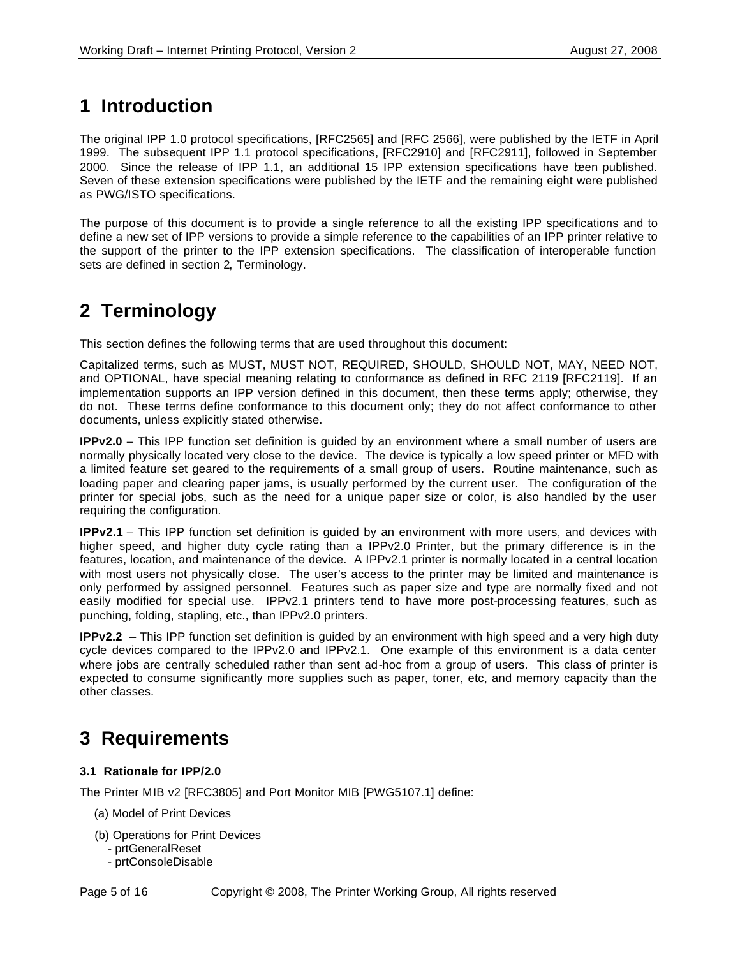# **1 Introduction**

The original IPP 1.0 protocol specifications, [RFC2565] and [RFC 2566], were published by the IETF in April 1999. The subsequent IPP 1.1 protocol specifications, [RFC2910] and [RFC2911], followed in September 2000. Since the release of IPP 1.1, an additional 15 IPP extension specifications have been published. Seven of these extension specifications were published by the IETF and the remaining eight were published as PWG/ISTO specifications.

The purpose of this document is to provide a single reference to all the existing IPP specifications and to define a new set of IPP versions to provide a simple reference to the capabilities of an IPP printer relative to the support of the printer to the IPP extension specifications. The classification of interoperable function sets are defined in section 2, Terminology.

# **2 Terminology**

This section defines the following terms that are used throughout this document:

Capitalized terms, such as MUST, MUST NOT, REQUIRED, SHOULD, SHOULD NOT, MAY, NEED NOT, and OPTIONAL, have special meaning relating to conformance as defined in RFC 2119 [RFC2119]. If an implementation supports an IPP version defined in this document, then these terms apply; otherwise, they do not. These terms define conformance to this document only; they do not affect conformance to other documents, unless explicitly stated otherwise.

**IPPv2.0** – This IPP function set definition is guided by an environment where a small number of users are normally physically located very close to the device. The device is typically a low speed printer or MFD with a limited feature set geared to the requirements of a small group of users. Routine maintenance, such as loading paper and clearing paper jams, is usually performed by the current user. The configuration of the printer for special jobs, such as the need for a unique paper size or color, is also handled by the user requiring the configuration.

**IPPv2.1** – This IPP function set definition is guided by an environment with more users, and devices with higher speed, and higher duty cycle rating than a IPPv2.0 Printer, but the primary difference is in the features, location, and maintenance of the device. A IPPv2.1 printer is normally located in a central location with most users not physically close. The user's access to the printer may be limited and maintenance is only performed by assigned personnel. Features such as paper size and type are normally fixed and not easily modified for special use. IPPv2.1 printers tend to have more post-processing features, such as punching, folding, stapling, etc., than IPPv2.0 printers.

**IPPv2.2** – This IPP function set definition is guided by an environment with high speed and a very high duty cycle devices compared to the IPPv2.0 and IPPv2.1. One example of this environment is a data center where jobs are centrally scheduled rather than sent ad-hoc from a group of users. This class of printer is expected to consume significantly more supplies such as paper, toner, etc, and memory capacity than the other classes.

# **3 Requirements**

#### **3.1 Rationale for IPP/2.0**

The Printer MIB v2 [RFC3805] and Port Monitor MIB [PWG5107.1] define:

- (a) Model of Print Devices
- (b) Operations for Print Devices
	- prtGeneralReset
	- prtConsoleDisable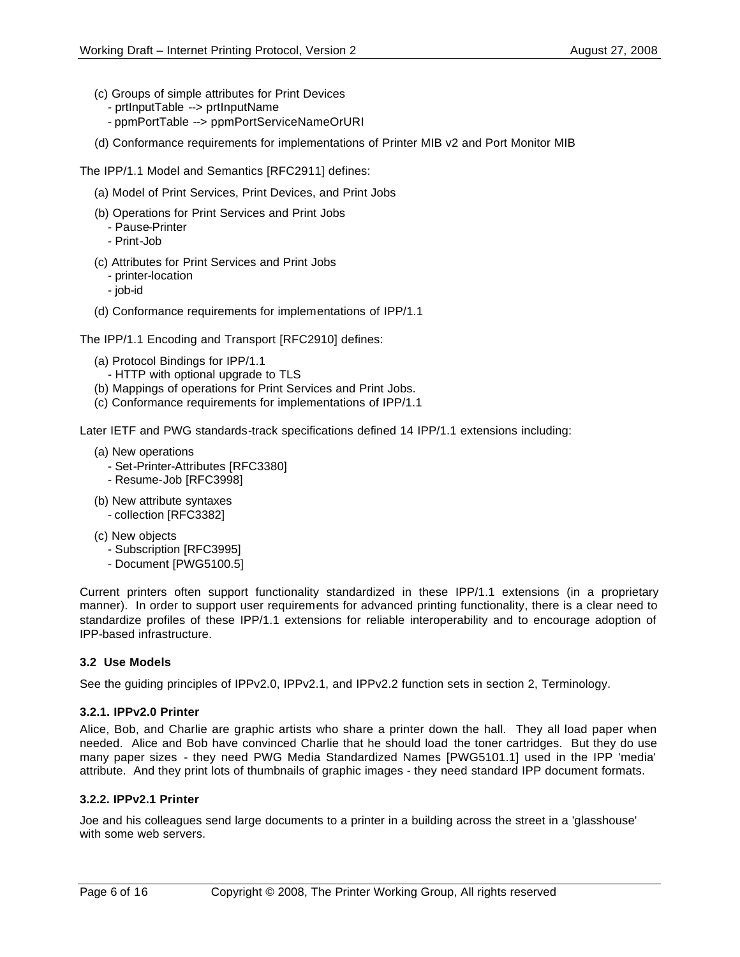- (c) Groups of simple attributes for Print Devices
	- prtInputTable --> prtInputName
	- ppmPortTable --> ppmPortServiceNameOrURI
- (d) Conformance requirements for implementations of Printer MIB v2 and Port Monitor MIB

The IPP/1.1 Model and Semantics [RFC2911] defines:

- (a) Model of Print Services, Print Devices, and Print Jobs
- (b) Operations for Print Services and Print Jobs
	- Pause-Printer
	- Print-Job
- (c) Attributes for Print Services and Print Jobs
	- printer-location
	- job-id
- (d) Conformance requirements for implementations of IPP/1.1

The IPP/1.1 Encoding and Transport [RFC2910] defines:

- (a) Protocol Bindings for IPP/1.1
	- HTTP with optional upgrade to TLS
- (b) Mappings of operations for Print Services and Print Jobs.
- (c) Conformance requirements for implementations of IPP/1.1

Later IETF and PWG standards-track specifications defined 14 IPP/1.1 extensions including:

- (a) New operations
	- Set-Printer-Attributes [RFC3380]
	- Resume-Job [RFC3998]
- (b) New attribute syntaxes - collection [RFC3382]
- (c) New objects
	- Subscription [RFC3995]
	- Document [PWG5100.5]

Current printers often support functionality standardized in these IPP/1.1 extensions (in a proprietary manner). In order to support user requirements for advanced printing functionality, there is a clear need to standardize profiles of these IPP/1.1 extensions for reliable interoperability and to encourage adoption of IPP-based infrastructure.

#### **3.2 Use Models**

See the guiding principles of IPPv2.0, IPPv2.1, and IPPv2.2 function sets in section 2, Terminology.

#### **3.2.1. IPPv2.0 Printer**

Alice, Bob, and Charlie are graphic artists who share a printer down the hall. They all load paper when needed. Alice and Bob have convinced Charlie that he should load the toner cartridges. But they do use many paper sizes - they need PWG Media Standardized Names [PWG5101.1] used in the IPP 'media' attribute. And they print lots of thumbnails of graphic images - they need standard IPP document formats.

#### **3.2.2. IPPv2.1 Printer**

Joe and his colleagues send large documents to a printer in a building across the street in a 'glasshouse' with some web servers.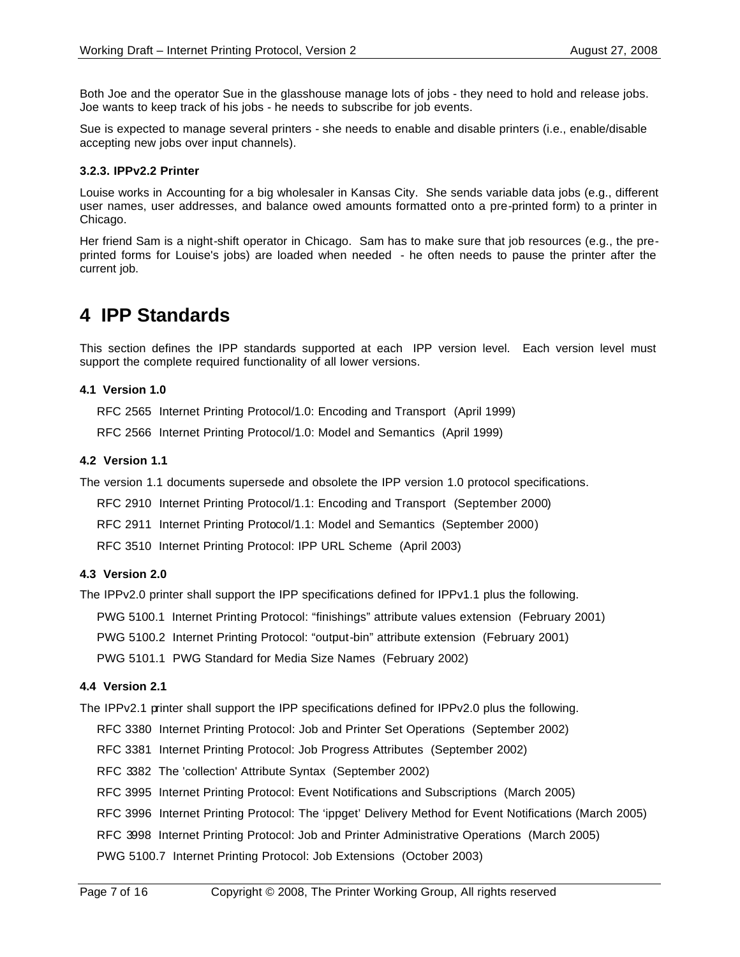Both Joe and the operator Sue in the glasshouse manage lots of jobs - they need to hold and release jobs. Joe wants to keep track of his jobs - he needs to subscribe for job events.

Sue is expected to manage several printers - she needs to enable and disable printers (i.e., enable/disable accepting new jobs over input channels).

#### **3.2.3. IPPv2.2 Printer**

Louise works in Accounting for a big wholesaler in Kansas City. She sends variable data jobs (e.g., different user names, user addresses, and balance owed amounts formatted onto a pre-printed form) to a printer in Chicago.

Her friend Sam is a night-shift operator in Chicago. Sam has to make sure that job resources (e.g., the preprinted forms for Louise's jobs) are loaded when needed - he often needs to pause the printer after the current job.

### **4 IPP Standards**

This section defines the IPP standards supported at each IPP version level. Each version level must support the complete required functionality of all lower versions.

#### **4.1 Version 1.0**

RFC 2565 Internet Printing Protocol/1.0: Encoding and Transport (April 1999)

RFC 2566 Internet Printing Protocol/1.0: Model and Semantics (April 1999)

#### **4.2 Version 1.1**

The version 1.1 documents supersede and obsolete the IPP version 1.0 protocol specifications.

RFC 2910 Internet Printing Protocol/1.1: Encoding and Transport (September 2000)

RFC 2911 Internet Printing Protocol/1.1: Model and Semantics (September 2000)

RFC 3510 Internet Printing Protocol: IPP URL Scheme (April 2003)

#### **4.3 Version 2.0**

The IPPv2.0 printer shall support the IPP specifications defined for IPPv1.1 plus the following.

PWG 5100.1 Internet Printing Protocol: "finishings" attribute values extension (February 2001)

PWG 5100.2 Internet Printing Protocol: "output-bin" attribute extension (February 2001)

PWG 5101.1 PWG Standard for Media Size Names (February 2002)

#### **4.4 Version 2.1**

The IPPv2.1 printer shall support the IPP specifications defined for IPPv2.0 plus the following.

RFC 3380 Internet Printing Protocol: Job and Printer Set Operations (September 2002)

RFC 3381 Internet Printing Protocol: Job Progress Attributes (September 2002)

RFC 3382 The 'collection' Attribute Syntax (September 2002)

RFC 3995 Internet Printing Protocol: Event Notifications and Subscriptions (March 2005)

RFC 3996 Internet Printing Protocol: The 'ippget' Delivery Method for Event Notifications (March 2005)

RFC 3998 Internet Printing Protocol: Job and Printer Administrative Operations (March 2005)

PWG 5100.7 Internet Printing Protocol: Job Extensions (October 2003)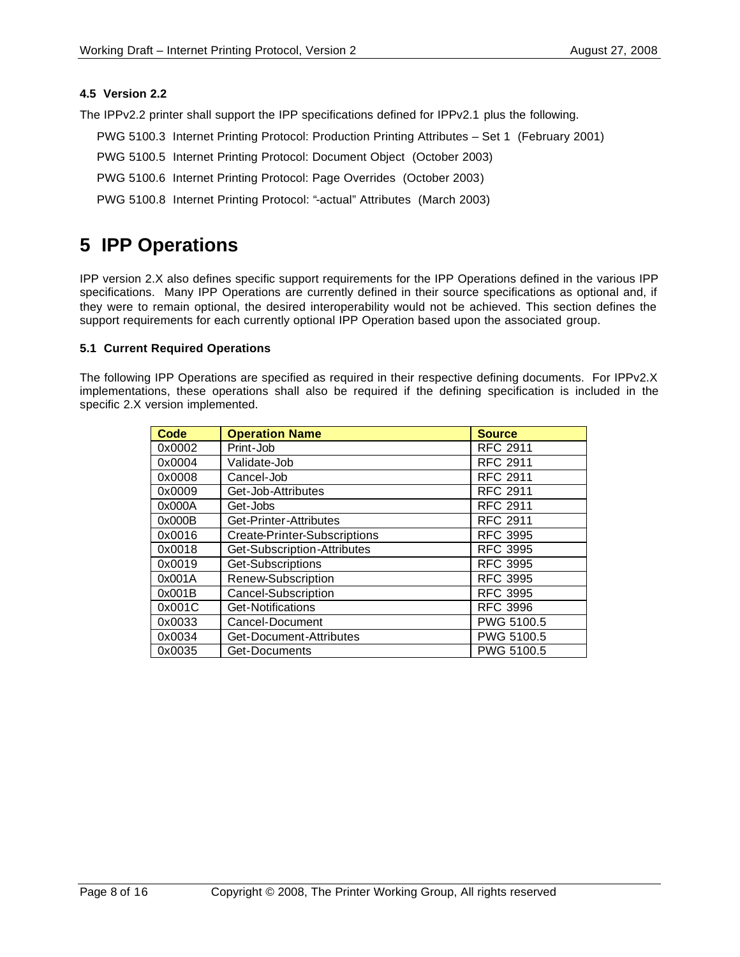#### **4.5 Version 2.2**

The IPPv2.2 printer shall support the IPP specifications defined for IPPv2.1 plus the following.

- PWG 5100.3 Internet Printing Protocol: Production Printing Attributes Set 1 (February 2001)
- PWG 5100.5 Internet Printing Protocol: Document Object (October 2003)
- PWG 5100.6 Internet Printing Protocol: Page Overrides (October 2003)
- PWG 5100.8 Internet Printing Protocol: "-actual" Attributes (March 2003)

### **5 IPP Operations**

IPP version 2.X also defines specific support requirements for the IPP Operations defined in the various IPP specifications. Many IPP Operations are currently defined in their source specifications as optional and, if they were to remain optional, the desired interoperability would not be achieved. This section defines the support requirements for each currently optional IPP Operation based upon the associated group.

#### **5.1 Current Required Operations**

The following IPP Operations are specified as required in their respective defining documents. For IPPv2.X implementations, these operations shall also be required if the defining specification is included in the specific 2.X version implemented.

| <b>Code</b> | <b>Operation Name</b>        | <b>Source</b>   |
|-------------|------------------------------|-----------------|
| 0x0002      | Print-Job                    | <b>RFC 2911</b> |
| 0x0004      | Validate-Job                 | <b>RFC 2911</b> |
| 0x0008      | Cancel-Job                   | <b>RFC 2911</b> |
| 0x0009      | Get-Job-Attributes           | <b>RFC 2911</b> |
| 0x000A      | Get-Jobs                     | <b>RFC 2911</b> |
| 0x000B      | Get-Printer-Attributes       | <b>RFC 2911</b> |
| 0x0016      | Create-Printer-Subscriptions | <b>RFC 3995</b> |
| 0x0018      | Get-Subscription-Attributes  | <b>RFC 3995</b> |
| 0x0019      | Get-Subscriptions            | <b>RFC 3995</b> |
| 0x001A      | Renew-Subscription           | <b>RFC 3995</b> |
| 0x001B      | Cancel-Subscription          | <b>RFC 3995</b> |
| 0x001C      | Get-Notifications            | <b>RFC 3996</b> |
| 0x0033      | Cancel-Document              | PWG 5100.5      |
| 0x0034      | Get-Document-Attributes      | PWG 5100.5      |
| 0x0035      | Get-Documents                | PWG 5100.5      |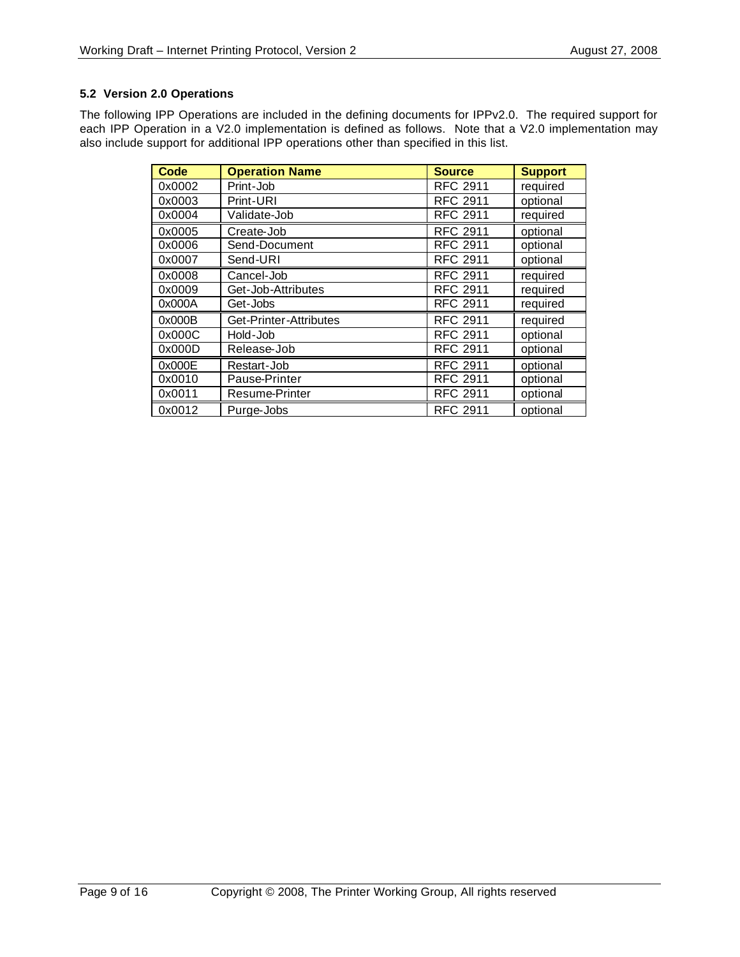#### **5.2 Version 2.0 Operations**

The following IPP Operations are included in the defining documents for IPPv2.0. The required support for each IPP Operation in a V2.0 implementation is defined as follows. Note that a V2.0 implementation may also include support for additional IPP operations other than specified in this list.

| <b>Code</b> | <b>Operation Name</b>  | <b>Source</b>   | <b>Support</b> |
|-------------|------------------------|-----------------|----------------|
| 0x0002      | Print-Job              | <b>RFC 2911</b> | required       |
| 0x0003      | Print-URI              | <b>RFC 2911</b> | optional       |
| 0x0004      | Validate-Job           | <b>RFC 2911</b> | required       |
| 0x0005      | Create-Job             | <b>RFC 2911</b> | optional       |
| 0x0006      | Send-Document          | <b>RFC 2911</b> | optional       |
| 0x0007      | Send-URI               | <b>RFC 2911</b> | optional       |
| 0x0008      | Cancel-Job             | <b>RFC 2911</b> | required       |
| 0x0009      | Get-Job-Attributes     | <b>RFC 2911</b> | required       |
| 0x000A      | Get-Jobs               | <b>RFC 2911</b> | required       |
| 0x000B      | Get-Printer-Attributes | <b>RFC 2911</b> | required       |
| 0x000C      | Hold-Job               | <b>RFC 2911</b> | optional       |
| 0x000D      | Release-Job            | <b>RFC 2911</b> | optional       |
| 0x000E      | Restart-Job            | <b>RFC 2911</b> | optional       |
| 0x0010      | Pause-Printer          | <b>RFC 2911</b> | optional       |
| 0x0011      | Resume-Printer         | <b>RFC 2911</b> | optional       |
| 0x0012      | Purge-Jobs             | <b>RFC 2911</b> | optional       |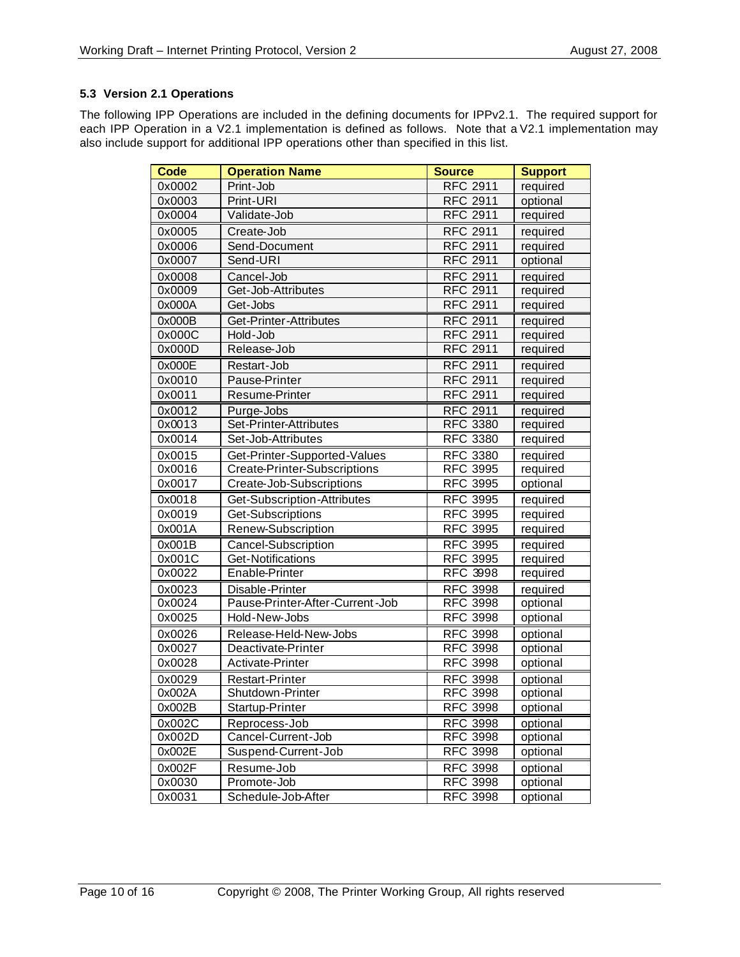#### **5.3 Version 2.1 Operations**

The following IPP Operations are included in the defining documents for IPPv2.1. The required support for each IPP Operation in a V2.1 implementation is defined as follows. Note that a V2.1 implementation may also include support for additional IPP operations other than specified in this list.

| <b>Code</b> | <b>Operation Name</b>           | <b>Source</b>   | <b>Support</b> |
|-------------|---------------------------------|-----------------|----------------|
| 0x0002      | Print-Job                       | <b>RFC 2911</b> | required       |
| 0x0003      | Print-URI                       | <b>RFC 2911</b> | optional       |
| 0x0004      | Validate-Job                    | <b>RFC 2911</b> | required       |
| 0x0005      | Create-Job                      | <b>RFC 2911</b> | required       |
| 0x0006      | Send-Document                   | <b>RFC 2911</b> | required       |
| 0x0007      | Send-URI                        | <b>RFC 2911</b> | optional       |
| 0x0008      | Cancel-Job                      | <b>RFC 2911</b> | required       |
| 0x0009      | Get-Job-Attributes              | <b>RFC 2911</b> | required       |
| 0x000A      | Get-Jobs                        | <b>RFC 2911</b> | required       |
| 0x000B      | Get-Printer-Attributes          | <b>RFC 2911</b> | required       |
| 0x000C      | Hold-Job                        | <b>RFC 2911</b> | required       |
| 0x000D      | Release-Job                     | <b>RFC 2911</b> | required       |
| 0x000E      | Restart-Job                     | <b>RFC 2911</b> | required       |
| 0x0010      | <b>Pause-Printer</b>            | <b>RFC 2911</b> | required       |
| 0x0011      | Resume-Printer                  | <b>RFC 2911</b> | required       |
| 0x0012      | Purge-Jobs                      | <b>RFC 2911</b> | required       |
| 0x0013      | Set-Printer-Attributes          | <b>RFC 3380</b> | required       |
| 0x0014      | Set-Job-Attributes              | <b>RFC 3380</b> | required       |
| 0x0015      | Get-Printer-Supported-Values    | <b>RFC 3380</b> | required       |
| 0x0016      | Create-Printer-Subscriptions    | <b>RFC 3995</b> | required       |
| 0x0017      | Create-Job-Subscriptions        | <b>RFC 3995</b> | optional       |
| 0x0018      | Get-Subscription-Attributes     | <b>RFC 3995</b> | required       |
| 0x0019      | Get-Subscriptions               | <b>RFC 3995</b> | required       |
| 0x001A      | Renew-Subscription              | <b>RFC 3995</b> | required       |
| 0x001B      | Cancel-Subscription             | <b>RFC 3995</b> | required       |
| 0x001C      | Get-Notifications               | <b>RFC 3995</b> | required       |
| 0x0022      | Enable-Printer                  | <b>RFC 3998</b> | required       |
| 0x0023      | Disable-Printer                 | <b>RFC 3998</b> | required       |
| 0x0024      | Pause-Printer-After-Current-Job | <b>RFC 3998</b> | optional       |
| 0x0025      | Hold-New-Jobs                   | <b>RFC 3998</b> | optional       |
| 0x0026      | Release-Held-New-Jobs           | <b>RFC 3998</b> | optional       |
| 0x0027      | Deactivate-Printer              | <b>RFC 3998</b> | optional       |
| 0x0028      | Activate-Printer                | <b>RFC 3998</b> | optional       |
| 0x0029      | Restart-Printer                 | <b>RFC 3998</b> | optional       |
| 0x002A      | Shutdown-Printer                | <b>RFC 3998</b> | optional       |
| 0x002B      | Startup-Printer                 | RFC 3998        | optional       |
| 0x002C      | Reprocess-Job                   | <b>RFC 3998</b> | optional       |
| 0x002D      | Cancel-Current-Job              | <b>RFC 3998</b> | optional       |
| 0x002E      | Suspend-Current-Job             | <b>RFC 3998</b> | optional       |
| 0x002F      | Resume-Job                      | <b>RFC 3998</b> | optional       |
| 0x0030      | Promote-Job                     | <b>RFC 3998</b> | optional       |
| 0x0031      | Schedule-Job-After              | <b>RFC 3998</b> | optional       |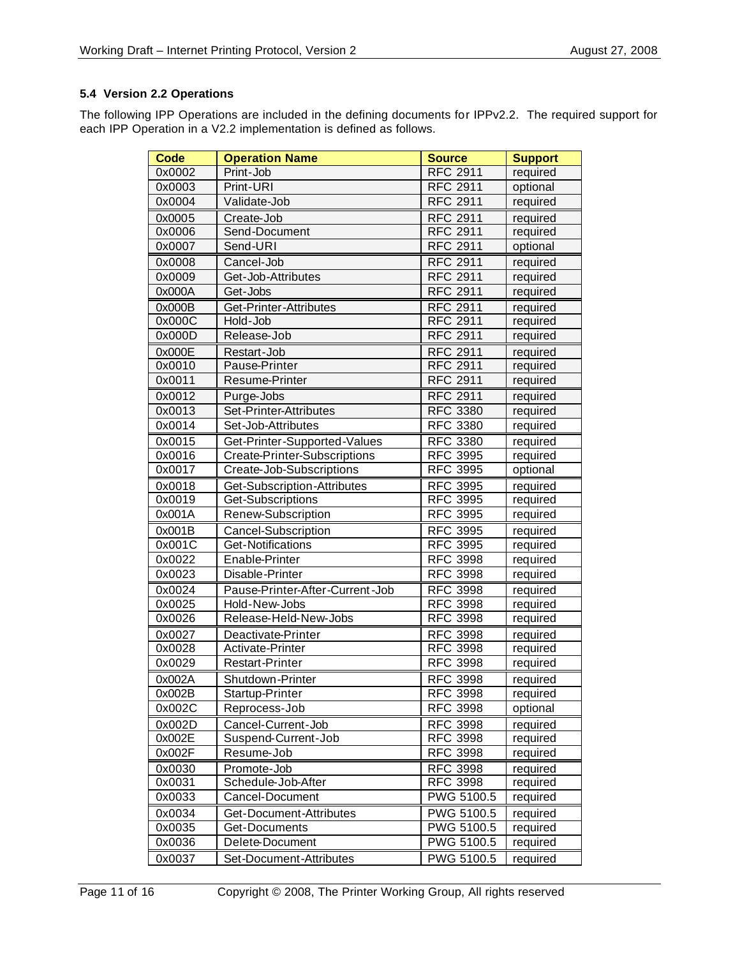#### **5.4 Version 2.2 Operations**

The following IPP Operations are included in the defining documents for IPPv2.2. The required support for each IPP Operation in a V2.2 implementation is defined as follows.

| <b>Code</b> | <b>Operation Name</b>           | <b>Source</b>   | <b>Support</b> |
|-------------|---------------------------------|-----------------|----------------|
| 0x0002      | Print-Job                       | <b>RFC 2911</b> | required       |
| 0x0003      | Print-URI                       | <b>RFC 2911</b> | optional       |
| 0x0004      | Validate-Job                    | <b>RFC 2911</b> | required       |
| 0x0005      | Create-Job                      | <b>RFC 2911</b> | required       |
| 0x0006      | Send-Document                   | <b>RFC 2911</b> | required       |
| 0x0007      | Send-URI                        | <b>RFC 2911</b> | optional       |
| 0x0008      | Cancel-Job                      | <b>RFC 2911</b> | required       |
| 0x0009      | Get-Job-Attributes              | <b>RFC 2911</b> | required       |
| 0x000A      | Get-Jobs                        | <b>RFC 2911</b> | required       |
| 0x000B      | Get-Printer-Attributes          | <b>RFC 2911</b> | required       |
| 0x000C      | Hold-Job                        | <b>RFC 2911</b> | required       |
| 0x000D      | Release-Job                     | <b>RFC 2911</b> | required       |
| 0x000E      | Restart-Job                     | <b>RFC 2911</b> | required       |
| 0x0010      | Pause-Printer                   | <b>RFC 2911</b> | required       |
| 0x0011      | Resume-Printer                  | <b>RFC 2911</b> | required       |
| 0x0012      | Purge-Jobs                      | <b>RFC 2911</b> | required       |
| 0x0013      | Set-Printer-Attributes          | <b>RFC 3380</b> | required       |
| 0x0014      | Set-Job-Attributes              | <b>RFC 3380</b> | required       |
| 0x0015      | Get-Printer-Supported-Values    | <b>RFC 3380</b> | required       |
| 0x0016      | Create-Printer-Subscriptions    | <b>RFC 3995</b> | required       |
| 0x0017      | Create-Job-Subscriptions        | <b>RFC 3995</b> | optional       |
| 0x0018      | Get-Subscription-Attributes     | <b>RFC 3995</b> | required       |
| 0x0019      | Get-Subscriptions               | <b>RFC 3995</b> | required       |
| 0x001A      | Renew-Subscription              | <b>RFC 3995</b> | required       |
| 0x001B      | Cancel-Subscription             | <b>RFC 3995</b> | required       |
| 0x001C      | Get-Notifications               | <b>RFC 3995</b> | required       |
| 0x0022      | Enable-Printer                  | <b>RFC 3998</b> | required       |
| 0x0023      | Disable-Printer                 | <b>RFC 3998</b> | required       |
| 0x0024      | Pause-Printer-After-Current-Job | <b>RFC 3998</b> | required       |
| 0x0025      | Hold-New-Jobs                   | <b>RFC 3998</b> | required       |
| 0x0026      | Release-Held-New-Jobs           | <b>RFC 3998</b> | required       |
| 0x0027      | Deactivate-Printer              | <b>RFC 3998</b> | required       |
| 0x0028      | Activate-Printer                | <b>RFC 3998</b> | required       |
| 0x0029      | <b>Restart-Printer</b>          | <b>RFC 3998</b> | required       |
| 0x002A      | Shutdown-Printer                | <b>RFC 3998</b> | required       |
| 0x002B      | Startup-Printer                 | RFC 3998        | required       |
| 0x002C      | Reprocess-Job                   | <b>RFC 3998</b> | optional       |
| 0x002D      | Cancel-Current-Job              | <b>RFC 3998</b> | required       |
| 0x002E      | Suspend-Current-Job             | <b>RFC 3998</b> | required       |
| 0x002F      | Resume-Job                      | <b>RFC 3998</b> | required       |
| 0x0030      | Promote-Job                     | <b>RFC 3998</b> | required       |
| 0x0031      | Schedule-Job-After              | <b>RFC 3998</b> | required       |
| 0x0033      | Cancel-Document                 | PWG 5100.5      | required       |
| 0x0034      | Get-Document-Attributes         | PWG 5100.5      | required       |
| 0x0035      | Get-Documents                   | PWG 5100.5      | required       |
| 0x0036      | Delete-Document                 | PWG 5100.5      | required       |
| 0x0037      | Set-Document-Attributes         | PWG 5100.5      | required       |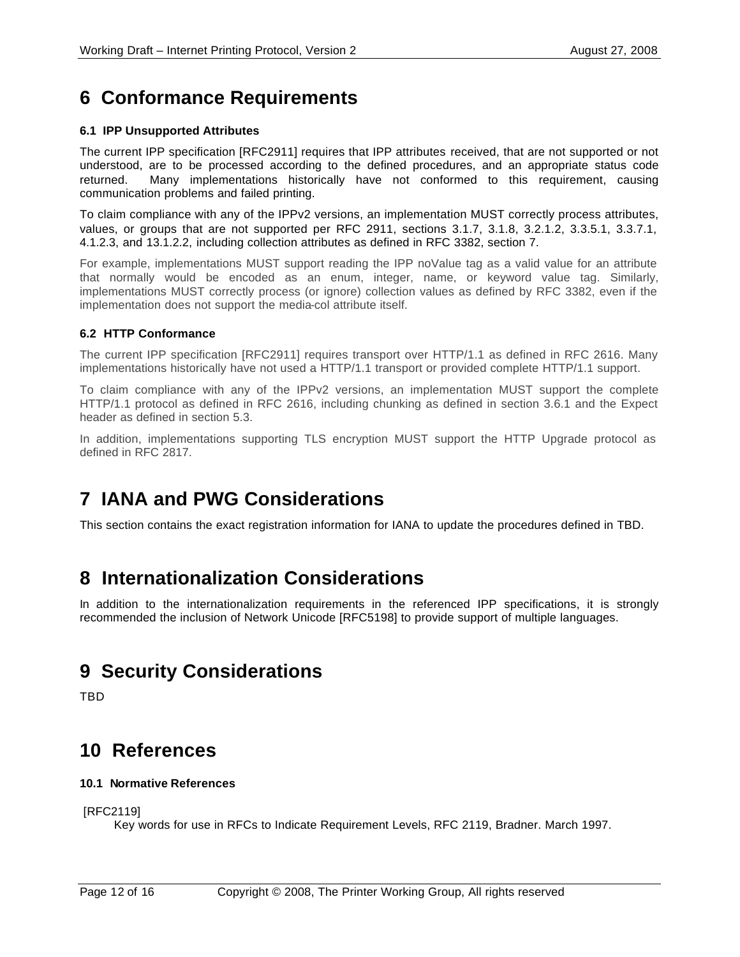# **6 Conformance Requirements**

#### **6.1 IPP Unsupported Attributes**

The current IPP specification [RFC2911] requires that IPP attributes received, that are not supported or not understood, are to be processed according to the defined procedures, and an appropriate status code returned. Many implementations historically have not conformed to this requirement, causing communication problems and failed printing.

To claim compliance with any of the IPPv2 versions, an implementation MUST correctly process attributes, values, or groups that are not supported per RFC 2911, sections 3.1.7, 3.1.8, 3.2.1.2, 3.3.5.1, 3.3.7.1, 4.1.2.3, and 13.1.2.2, including collection attributes as defined in RFC 3382, section 7.

For example, implementations MUST support reading the IPP noValue tag as a valid value for an attribute that normally would be encoded as an enum, integer, name, or keyword value tag. Similarly, implementations MUST correctly process (or ignore) collection values as defined by RFC 3382, even if the implementation does not support the media-col attribute itself.

#### **6.2 HTTP Conformance**

The current IPP specification [RFC2911] requires transport over HTTP/1.1 as defined in RFC 2616. Many implementations historically have not used a HTTP/1.1 transport or provided complete HTTP/1.1 support.

To claim compliance with any of the IPPv2 versions, an implementation MUST support the complete HTTP/1.1 protocol as defined in RFC 2616, including chunking as defined in section 3.6.1 and the Expect header as defined in section 5.3.

In addition, implementations supporting TLS encryption MUST support the HTTP Upgrade protocol as defined in RFC 2817.

### **7 IANA and PWG Considerations**

This section contains the exact registration information for IANA to update the procedures defined in TBD.

### **8 Internationalization Considerations**

In addition to the internationalization requirements in the referenced IPP specifications, it is strongly recommended the inclusion of Network Unicode [RFC5198] to provide support of multiple languages.

### **9 Security Considerations**

TBD

### **10 References**

#### **10.1 Normative References**

[RFC2119]

Key words for use in RFCs to Indicate Requirement Levels, RFC 2119, Bradner. March 1997.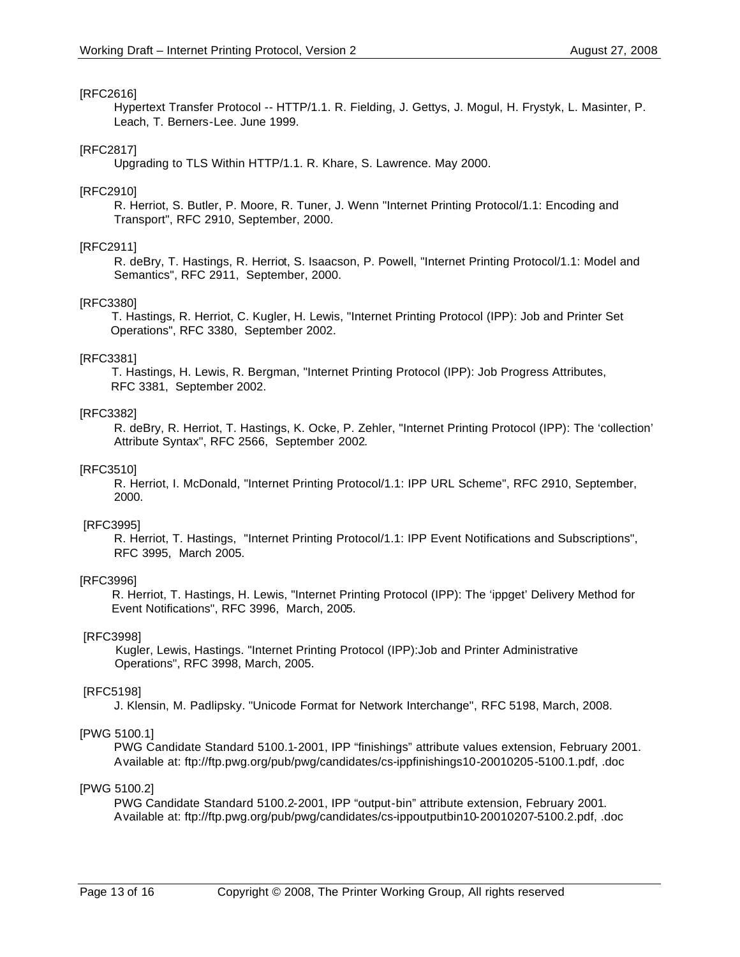#### [RFC2616]

Hypertext Transfer Protocol -- HTTP/1.1. R. Fielding, J. Gettys, J. Mogul, H. Frystyk, L. Masinter, P. Leach, T. Berners-Lee. June 1999.

#### [RFC2817]

Upgrading to TLS Within HTTP/1.1. R. Khare, S. Lawrence. May 2000.

#### [RFC2910]

R. Herriot, S. Butler, P. Moore, R. Tuner, J. Wenn "Internet Printing Protocol/1.1: Encoding and Transport", RFC 2910, September, 2000.

#### [RFC2911]

R. deBry, T. Hastings, R. Herriot, S. Isaacson, P. Powell, "Internet Printing Protocol/1.1: Model and Semantics", RFC 2911, September, 2000.

#### [RFC3380]

 T. Hastings, R. Herriot, C. Kugler, H. Lewis, "Internet Printing Protocol (IPP): Job and Printer Set Operations", RFC 3380, September 2002.

#### [RFC3381]

 T. Hastings, H. Lewis, R. Bergman, "Internet Printing Protocol (IPP): Job Progress Attributes, RFC 3381, September 2002.

#### [RFC3382]

R. deBry, R. Herriot, T. Hastings, K. Ocke, P. Zehler, "Internet Printing Protocol (IPP): The 'collection' Attribute Syntax", RFC 2566, September 2002.

#### [RFC3510]

R. Herriot, I. McDonald, "Internet Printing Protocol/1.1: IPP URL Scheme", RFC 2910, September, 2000.

#### [RFC3995]

R. Herriot, T. Hastings, "Internet Printing Protocol/1.1: IPP Event Notifications and Subscriptions", RFC 3995, March 2005.

#### [RFC3996]

 R. Herriot, T. Hastings, H. Lewis, "Internet Printing Protocol (IPP): The 'ippget' Delivery Method for Event Notifications", RFC 3996, March, 2005.

#### [RFC3998]

 Kugler, Lewis, Hastings. "Internet Printing Protocol (IPP):Job and Printer Administrative Operations", RFC 3998, March, 2005.

#### [RFC5198]

J. Klensin, M. Padlipsky. "Unicode Format for Network Interchange", RFC 5198, March, 2008.

#### [PWG 5100.1]

PWG Candidate Standard 5100.1-2001, IPP "finishings" attribute values extension, February 2001. Available at: ftp://ftp.pwg.org/pub/pwg/candidates/cs-ippfinishings10-20010205-5100.1.pdf, .doc

#### [PWG 5100.2]

PWG Candidate Standard 5100.2-2001, IPP "output-bin" attribute extension, February 2001. Available at: ftp://ftp.pwg.org/pub/pwg/candidates/cs-ippoutputbin10-20010207-5100.2.pdf, .doc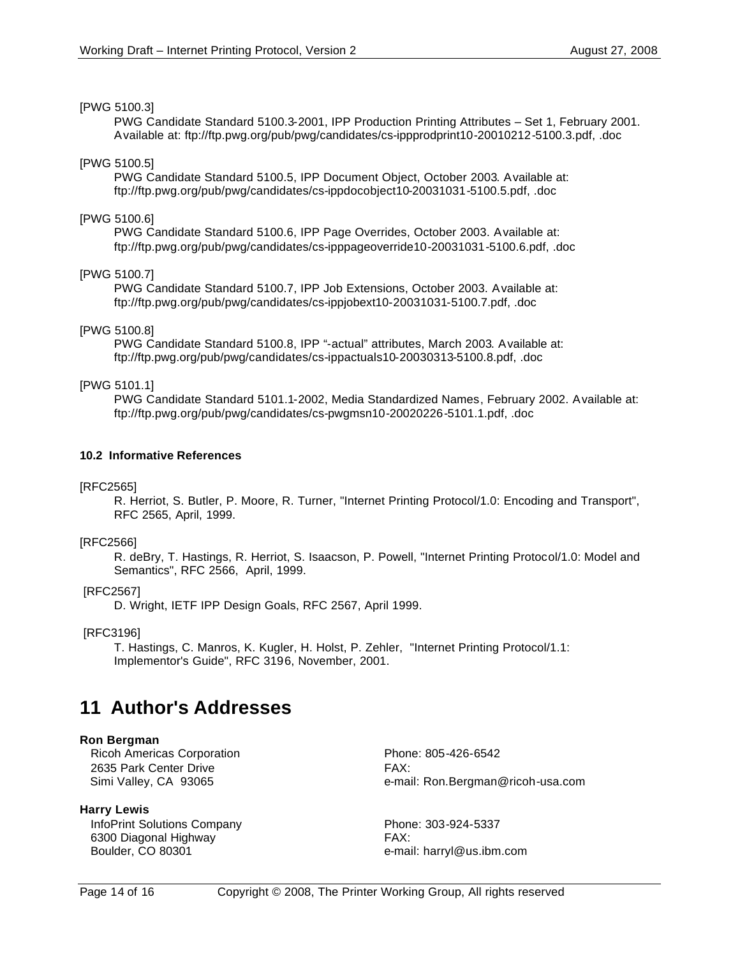#### [PWG 5100.3]

PWG Candidate Standard 5100.3-2001, IPP Production Printing Attributes – Set 1, February 2001. Available at: ftp://ftp.pwg.org/pub/pwg/candidates/cs-ippprodprint10-20010212-5100.3.pdf, .doc

#### [PWG 5100.5]

PWG Candidate Standard 5100.5, IPP Document Object, October 2003. Available at: ftp://ftp.pwg.org/pub/pwg/candidates/cs-ippdocobject10-20031031-5100.5.pdf, .doc

#### [PWG 5100.6]

PWG Candidate Standard 5100.6, IPP Page Overrides, October 2003. Available at: ftp://ftp.pwg.org/pub/pwg/candidates/cs-ipppageoverride10-20031031-5100.6.pdf, .doc

#### [PWG 5100.7]

PWG Candidate Standard 5100.7, IPP Job Extensions, October 2003. Available at: ftp://ftp.pwg.org/pub/pwg/candidates/cs-ippjobext10-20031031-5100.7.pdf, .doc

#### [PWG 5100.8]

PWG Candidate Standard 5100.8, IPP "-actual" attributes, March 2003. Available at: ftp://ftp.pwg.org/pub/pwg/candidates/cs-ippactuals10-20030313-5100.8.pdf, .doc

#### [PWG 5101.1]

PWG Candidate Standard 5101.1-2002, Media Standardized Names, February 2002. Available at: ftp://ftp.pwg.org/pub/pwg/candidates/cs-pwgmsn10-20020226-5101.1.pdf, .doc

#### **10.2 Informative References**

#### [RFC2565]

R. Herriot, S. Butler, P. Moore, R. Turner, "Internet Printing Protocol/1.0: Encoding and Transport", RFC 2565, April, 1999.

#### [RFC2566]

R. deBry, T. Hastings, R. Herriot, S. Isaacson, P. Powell, "Internet Printing Protocol/1.0: Model and Semantics", RFC 2566, April, 1999.

#### [RFC2567]

D. Wright, IETF IPP Design Goals, RFC 2567, April 1999.

#### [RFC3196]

T. Hastings, C. Manros, K. Kugler, H. Holst, P. Zehler, "Internet Printing Protocol/1.1: Implementor's Guide", RFC 3196, November, 2001.

### **11 Author's Addresses**

#### **Ron Bergman**

Ricoh Americas Corporation **Phone: 805-426-6542** 2635 Park Center Drive **FAX:** 

#### **Harry Lewis**

InfoPrint Solutions Company Phone: 303-924-5337 6300 Diagonal Highway FAX: Boulder, CO 80301 e-mail: harryl@us.ibm.com

Simi Valley, CA 93065 e-mail: Ron.Bergman@ricoh-usa.com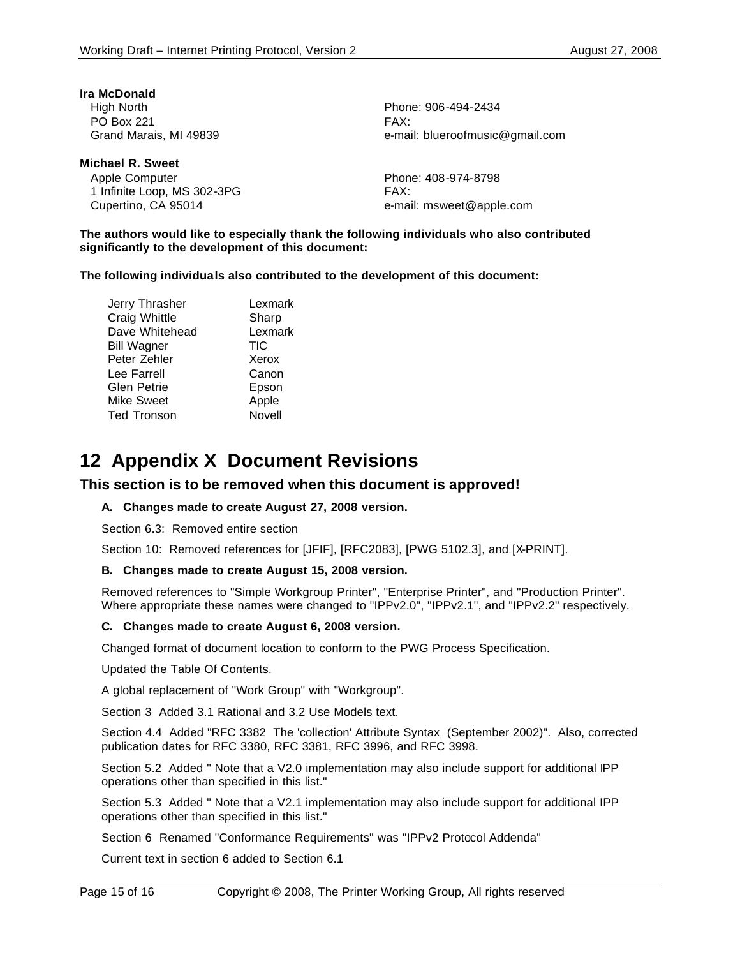| Ira McDonald           |              |
|------------------------|--------------|
| High North             | <b>Phone</b> |
| <b>PO Box 221</b>      | FAX:         |
| Grand Marais, MI 49839 | e-mai        |

**Michael R. Sweet** Apple Computer **Phone: 408-974-8798** 1 Infinite Loop, MS 302-3PG FAX: Cupertino, CA 95014 e-mail: msweet@apple.com

Phone: 906-494-2434 e-mail: blueroofmusic@gmail.com

**The authors would like to especially thank the following individuals who also contributed significantly to the development of this document:**

**The following individuals also contributed to the development of this document:**

Jerry Thrasher **Lexmark** Craig Whittle **Sharp** Dave Whitehead Lexmark Bill Wagner TIC Peter Zehler Xerox Lee Farrell **Canon** Glen Petrie Epson Mike Sweet Apple Ted Tronson Novell

### **12 Appendix X Document Revisions**

#### **This section is to be removed when this document is approved!**

#### **A. Changes made to create August 27, 2008 version.**

Section 6.3: Removed entire section

Section 10: Removed references for [JFIF], [RFC2083], [PWG 5102.3], and [X-PRINT].

#### **B. Changes made to create August 15, 2008 version.**

Removed references to "Simple Workgroup Printer", "Enterprise Printer", and "Production Printer". Where appropriate these names were changed to "IPPv2.0", "IPPv2.1", and "IPPv2.2" respectively.

#### **C. Changes made to create August 6, 2008 version.**

Changed format of document location to conform to the PWG Process Specification.

Updated the Table Of Contents.

A global replacement of "Work Group" with "Workgroup".

Section 3 Added 3.1 Rational and 3.2 Use Models text.

Section 4.4 Added "RFC 3382 The 'collection' Attribute Syntax (September 2002)". Also, corrected publication dates for RFC 3380, RFC 3381, RFC 3996, and RFC 3998.

Section 5.2 Added " Note that a V2.0 implementation may also include support for additional IPP operations other than specified in this list."

Section 5.3 Added " Note that a V2.1 implementation may also include support for additional IPP operations other than specified in this list."

Section 6 Renamed "Conformance Requirements" was "IPPv2 Protocol Addenda"

Current text in section 6 added to Section 6.1